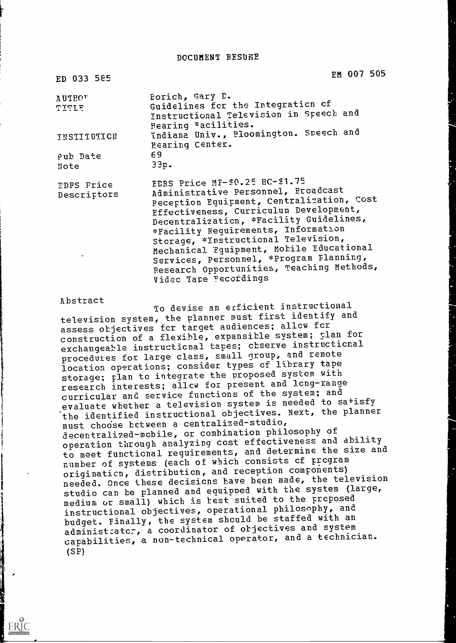DOCUMENT RESURE

| ED 033 585                | EM 007 505                                                                                                                                                                                                                                                                                                                                                                                                                                         |
|---------------------------|----------------------------------------------------------------------------------------------------------------------------------------------------------------------------------------------------------------------------------------------------------------------------------------------------------------------------------------------------------------------------------------------------------------------------------------------------|
| AUTHOF<br><b>TITLE</b>    | Eorich, Gary D.<br>Guidelines for the Integration of<br>Instructional Television in Speech and<br>Hearing racilities.                                                                                                                                                                                                                                                                                                                              |
| INSTITUTICN               | Indiana Univ., Bloomington. Speech and<br>Hearing Center.                                                                                                                                                                                                                                                                                                                                                                                          |
| Pub Date<br>Note          | 69<br>33p.                                                                                                                                                                                                                                                                                                                                                                                                                                         |
| EDPS Frice<br>Descriptors | EDRS Price MF-\$0.25 HC-\$1.75<br>Administrative Personnel, Broadcast<br>Reception Equipment, Centralization, Cost<br>Effectiveness, Curriculum Development,<br>Decentralization, *Facility Guidelines,<br>*Facility Requirements, Information<br>Storage, *Instructional Television,<br>Mechanical Fquipment, Mobile Educational<br>Services, Personnel, *Program Flanning,<br>Research Opportunities, Teaching Methods,<br>Video Tape Pecordings |

#### Abstract

ERIC

To devise an erficient instructional television system, the planner must first identify and assess objectives fcr target audiences; allow fcr construction of a flexible, expansible system; plan for exchangeable instructional tapes; observe instructional procedures for large class, small group, and remote location operations; consider types of library tape storage; plan to integrate the proposed system with research interests; allow for present and long-range curricular and service functions of the system; and evaluate whether a television system is needed to sa+isfy the identified instructional objectives. Next, the planner must chodse between a centralized-studio, decentralized-mobile, or combination philosophy of operation through analyzing cost effectiveness and ability to meet functional requirements, and determine the size and number of systems (each of which consists cf program originaticn, distribution, and reception components) needed, Once these decisions have been made, the television studio can be planned and equipped with the system (large, medium or small) which is best suited to the proposed instructional objectives, operational philosophy, and budget. Finally, the system should be staffed with an administrator, a coordinator of objectives and system capabilities, a non-technical operator, and a technician. (SP)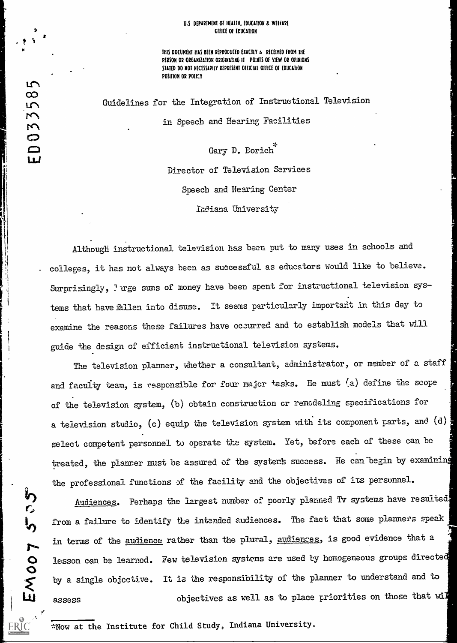#### U.S DEPARTMENT OF HEALTH, EDUCATION & WELFARE Office of EDUCATION

THIS DOCUMENT HAS BEEN REPRODUCED EXACTLY A RECEIVED FROM THE PERSON OR ORGANIZATION ORIGINATING If POINTS OF VIEW OR OPINIONS STATED DO NOT NECESSARILY REPRESENT OFFICIAL OFFICE OF EDUCATION POSITION OR POLICY

Guidelines for the Integration of Instructional Television in Speech and Hearing Facilities

Gary D. Borich Director of Television Services Speech and Hearing Center Indiana University

- colleges, it has not always been as successful as educators would like to believe. Although instructional television has been put to many uses in schools and Surprisingly, 'vrge sums of money have been spent for instructional television sys-. tems that have fallen into disuse. It seems particularly important in this day to examine the reasons these failures have occurred and to establish models that will guide the design of efficient instructional television systems.

The television planner, whether a consultant, administrator, or member of a staff and faculty team, is responsible for four major tasks. He must (a) define the scope of the television system, (b) obtain construction or remodeling specifications for a television studio, (c) equip the television system with its component parts, and (d) select competent personnel to operate the system. Yet, before each of these can be treated, the planner must be assured of the system's success. He can begin by examining the professional functions of the facility and the objectives of its personnel.

ir)  $\mathcal{L}$ 

'Jr\

58

 $\overline{M}$ 

C.)

 $\Xi$ 

 $[11]$ 

11:

Audiences. Perhaps the largest number of poorly planned Tv systems have resulted w1 from a failure to identify the intended audiences. The fact that some planners speak in terms of the <u>audience</u> rather than the plural, <u>audiences</u>, is good evidence that a  $\bullet$  lesson can be learned. Few television systems are used ty homogeneous groups directed  $\overline{O}$  resson can be read by a single objective. It is the responsibility of the planner to understand and to assess  $\qquad \qquad \text{objectives as well as to place priorities on those that will}$ 

\*Now at the Institute for Child Study, Indiana University.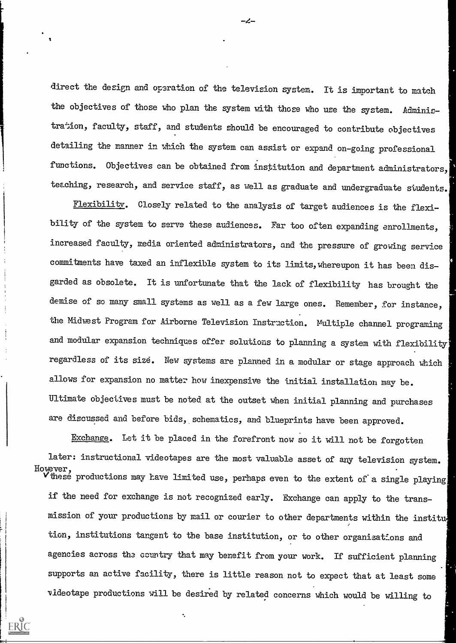direct the design and operation of the television system. It is important to match the objectives of those who plan the system with those who use the system. Administration, faculty, staff, and students should be encouraged to contribute objectives detailing the manner in which the system can assist or expand on-going professional functions. Objectives can be obtained from institution and department administrators, teaching, research, and service staff, as well as graduate and undergraduate students.

Flexibility. Closely related to the analysis of target audiences is the flexibility of the system to serve these audiences. Far too often expanding enrollments, increased faculty, media oriented administrators, and the pressure of growing service commitments have taxed an inflexible system to its limits, whereupon it has been disgarded as obsolete. It is unfortunate that the lack of flexibility has brought the demise of so many small systems as well as a few large ones. Remember, for instance, the Midwest Program for Airborne Television Instruction. Multiple channel programing and modular expansion techniques offer solutions to planning a system with flexibility regardless of its size. New systems are planned in a modular or stage approach which allows for expansion no matter how inexpensive the initial installation may be. Ultimate objectives must be noted at the outset when initial planning and purchases are discussed and before bids, schematics, and blueprints have been approved.

Exchange. Iet it be placed in the forefront now so it will not be forgotten later: instructional videotapes are the most valuable asset of any television system. However,  $V$  these productions may have limited use, perhaps even to the extent of a single playing if the need for exchange is not recognized early. Exchange can apply to the transmission of your productions by nail or courier to other departments within the institu tion, institutions tangent to the base institution, or to other organizations and agencies across the country that may benefit from your work. If sufficient planning supports an active facility, there is little reason not to expect that at least some videotape productions will be desired by related concerns which would be willing to

ERIC

-2-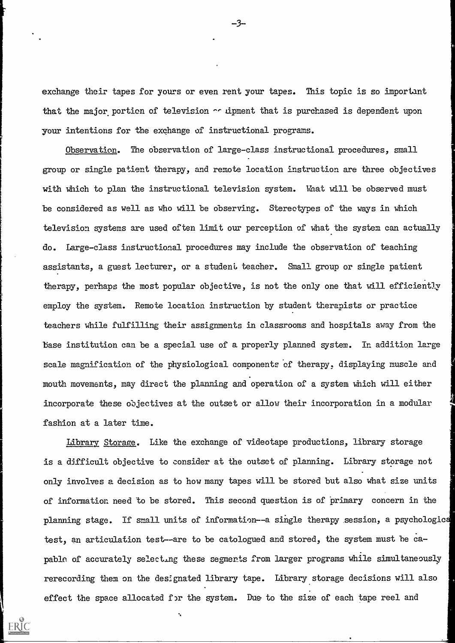exchange their tapes for yours or even rent your tapes. This topic is so important that the major portion of television  $\sim$  dpment that is purchased is dependent upon your intentions for the exchange of instructional programs.

Observation. The observation of large-class instructional procedures, small group or single patient therapy, and remote location instruction are three objectives with which to plan the instructional television system. What will be observed must be considered as well as who will be observing. Stereotypes of the ways in which television systems are used often limit our perception of what the system can actually do. Large-class instructional procedures may include the observation of teaching assistants, a guest lecturer, or a student teacher. Small group or single patient therapy, perhaps the most popular objective, is not the only one that will efficiently employ the system. Remote location instruction by student therapists or practice teachers while fulfilling their assignments in classrooms and hospitals away from the base institution can be a special use of a properly planned system. In addition large scale magnification of the physiological components of therapy, displaying muscle and mouth movements, may direct the planning and operation of a system which will either incorporate these objectives at the outset or allow their incorporation in a modular fashion at a later time.

Library Storage. Like the exchange of videotape productions, library storage is a difficult objective to consider at the outset of planning. Library storage not only involves a decision as to how many tapes will be stored but also what size units of information need to be stored. This second question is of 'primary concern in the planning stage. If small units of information--a single therapy session, a psychologic test, an articulation test--are to be catologued and stored, the system must he capable of accurately selecting these segments from larger programs while simultaneously rerecording them on the designated library tape. Library storage decisions will also effect the space allocated for the system. Due to the size of each tape reel and



-3-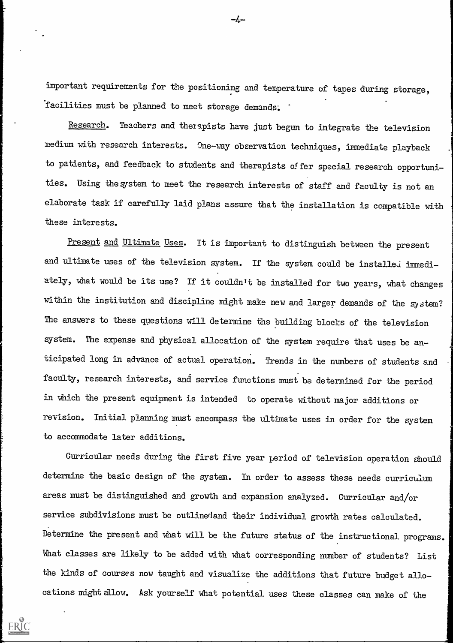important requirenents for the positioning and temperature of tapes during storage, facilities must be planned to meet storage demands.

Research. Teachers and therapists have just begun to integrate the television medium with research interests. One-way observation techniques, immediate playback to patients, and feedback to students and therapists of fer special research opportunities. Using the system to meet the research interests of staff and faculty is not an elaborate task if carefully laid plans assure that the installation is compatible with these interests.

Present and Ultimate Uses. It is important to distinguish between the present and ultimate uses of the television system. If the system could be installed immediately, what would be its use? If it couldn't be installed for two years, what changes within the institution and discipline might make new and larger demands of the system? The answers to these questions will determine the building blocks of the television system. The expense and physical allocation of the system require that uses be anticipated long in advance of actual operation. Trends in the numbers of students and faculty, research interests, and service functions must be determined for the period in which the present equipment is intended to operate without major additions or revision. Initial planning must encompass the ultimate uses in order for the system to accommodate later additions.

Curricular needs during the first five year period of television operation should determine the basic design of the system. In order to assess these needs curriculum areas must be distinguished and growth and expansion analyzed. Curricular and/or service subdivisions must be outlinedand their individual growth rates calculated. Determine the present and what will be the future status of the instructional programs. What classes are likely to be added with what corresponding number of students? List the kinds of courses now taught and visualize the additions that future budget allocations might allow. Ask yourself what potential uses these classes can make of the

ERIC

–4–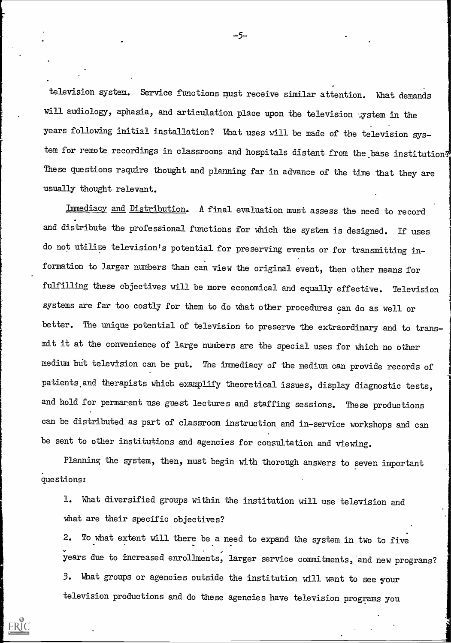television system. Service functions must receive similar attention. What demands will audiology, aphasia, and articulation place upon the television gystem in the years following initial installation? What uses will be made of the television system for remote recordings in classrooms and hospitals distant from the base institution? These questions require thought and planning far in advance of the time that they are usually thought relevant.

Immediacy and Distribution. A final evaluation must assess the need to record and distribute the professional functions for which the system is designed. If uses do not utilize television's potential for preserving events or for transmitting information to larger numbers than can view the original event, then other means for fulfilling these objectives will be more economical and equally effective. Television systems are far too costly for them to do what other procedures can do as well or better. The unique potential of television to preserve the extraordinary and to transmit it at the convenience of large numbers are the special uses for which no other medium but television can be put. The immediacy of the medium can provide records of patients and therapists which examplify theoretical issues, display diagnostic tests, and hold for permarent use guest lectures and staffing sessions. These productions can be distributed as part of classroom instruction and in-service workshops and can be sent to other institutions and agencies for consultation and viewing.

Planning the system, then, must begin with thorough answers to seven important questions:

1. What diversified groups within the institution will use television and what are their specific objectives?

television productions and do these agencies have television programs you<br>ERIC<br>ERIC 2. To what extent will there be a need to expand the system in two to fiv years due to increased enrollments, larger service commitments, and new programs? 3. What groups or agencies outside the institution will want to see your

-5-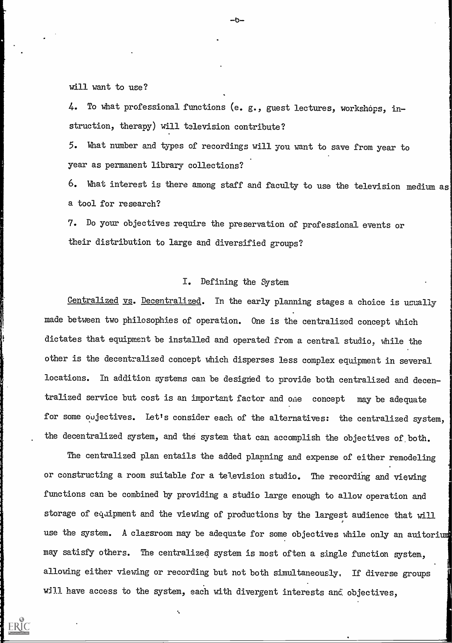will want to use?

 $4.$  To what professional functions (e. g., guest lectures, workshops, instruction, therapy) will television contribute?

5. Vhat number and types of recordings will you want to save from year to year as permanent library collections?

6. Nhat interest is there among staff and faculty to use the television medium as a tool for research?

7. Do your objectives require the preservation of professional events or their distribution to large and diversified groups?

#### I. Defining the System

Centralized vs. Decentralized. In the early planning stages a choice is usually made between two philosophies of operation. One is the centralized concept which dictates that equipment be installed and operated from a central studio; while the other is the decentralized concept which disperses less complex equipment in several locations. In addition systems can be designed to provide both centralized and decentralized service but cost is an important factor and one concept may be adequate for some oujectives. Let's consider each of the alternatives: the centralized system, the decentralized system, and the system that can accomplish the objectives of both.

The centralized plan entails the added planning and expense of either remodeling or constructing a room suitable for a television studio. The recording and viewing functions can be combined by providing a studio large enough to allow operation and storage of equipment and the viewing of productions by the largest audience that will use the system. A classroom may be adequate for some objectives while only an auitorium may satisfy others. The centralized system is most often a single function system, allowing either viewing or recording but not both simultaneouely. If diverse groups will have access to the system, each with divergent interests and objectives,

 $\boldsymbol{\zeta}$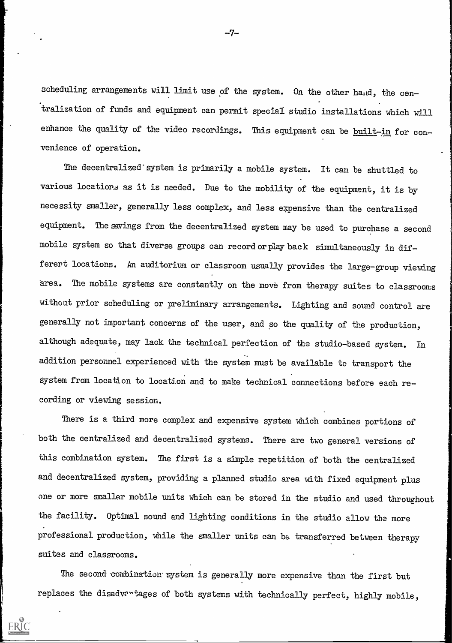scheduling arrangements will limit use of the system. On the other hand, the centralization of funds and equipment can permit special studio installations which will enhance the quality of the video recordings. This equipment can be built-in for convenience of operation.

The decentralized' system is primarily a mobile system. It can be shuttled to various locations as it is needed. Due to the mobility of the equipment, it is by necessity smaller, generally less complex, and less expensive than the centralized equipment. The sayings from the decentralized system may be used to purchase a second mobile system so that diverse groups can record orplayback simultaneously in different locations. An auditorium or classroom usually provides the large-group viewing area. The mobile systems are constantly on the move from therapy suites to classrooms without prior scheduling or preliminary arrangements. Lighting and sound control are generally not important concerns of the user, and so the quality of the production, although adequate, may lack the technical perfection of the studio-based system. In addition personnel experienced with the system must be available to transport the system from location to location and to make technical connections before each recording or viewing session.

There is a third more complex and expensive system which combines portions of both the centralized and decentralized systems. There are two general versions of this combination system. The first is a simple repetition of both the centralized and decentralized system, providing a planned studio area with fixed equipment plus one or more smaller mobile units which can be stored in the studio and used throughout the facility. Optimal sound and lighting conditions in the studio allow the more professional production, while the smaller units can be transferred between therapy suites and classrooms.

The second combination system is generally more expensive than the first but replaces the disadventages of both systems with technically perfect, highly mobile,

ERIC

 $-7-$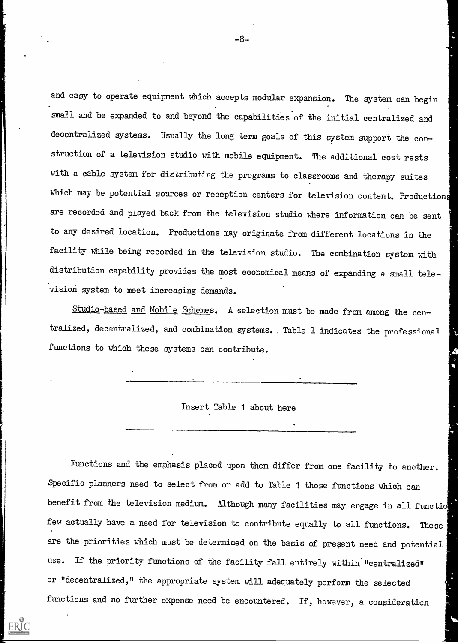and easy to operate equipment which accepts modular expansion. The system can begin small and be expanded to and beyond the capabilities of the initial centralized and decentralized systems. Usually the long term goals of this system support the construction of a television studio with mobile equipment. The additional cost rests with a cable system for distributing the programs to classrooms and therapy suites which may be potential sources or reception centers for television content. Productions are recorded and played back from the television studio where information can be sent to any desired location. Productions may originate from different locations in the facility while being recorded in the television studio. The combination system with distribution capability provides the most economical means of expanding a small television system to meet increasing demands.

Studio-based and Mobile Schemes. A selection must be made from among the centralized, decentralized, and combination systems.. Table 1 indicates the professional functions to which these systems can contribute.

Insert Table 1 about here

Functions and the emphasis placed upon them differ from one facility to another. Specific planners need to select from or add to Table 1 those functions which can benefit from the television medium. Although many facilities may engage in all functio few actually have a need for television to contribute equally to all functions. These priorities which must be determined on the basis of present need and potential use. If the priority functions of the facility fall entirely within "centralized" or "decentralized," the appropriate system will adequately perform the selected functions and no further expense need be encountered. If, however, a consideration

ERIC

-8-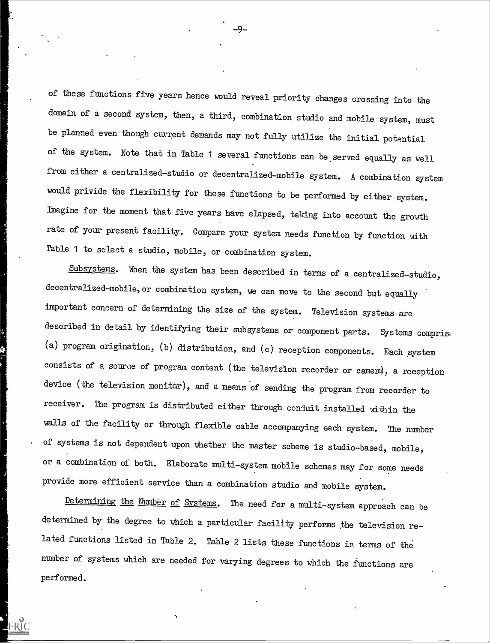of these functions five years hence would reveal priority changes crossing into the domain of a second system, then, a third, combination studio and mobile system, must be planned even though current demands may not fully utilize the initial potential of the system. Note that in Table 1 several functions can be served equally as well from either a centralized-studio or decentralized-mobile system. A combination system would privide the flexibility for these functions to be performed by either system. Imagine for the moment that five years have elapsed, taking into account the growth rate of your present facility. Compare your system needs function by function with Table 1 to select a studio, mobile, or combination system.

Subsystems. When the system has been described in terms of a centralized-studio, decentralized-mobile,or combination system, we can move to the second but equally important concern of determining the size of the system. Television systems are described in detail by identifying their subsystems or component parts. Systems comprise (a) program origination, (b) distribution, and (c) reception components. Each system consists of a source of program content (the television recorder or camera), a reception device (the television monitor), and a means of sending the program from recorder to receiver. The program is distributed either through conduit installed within the walls of the facility or through flexible cable accompanying each system. The number of systems is not dependent upon whether the master scheme is studio-based, mobile, or a combination of both. Elaborate multi-system mobile schemes may for some needs provide more efficient service than a combination studio and mobile system.

Determining the Number of Systems. The need for a multi-system approach can be determined by the degree to which a particular facility performs the television related functions listed in Table 2. Table 2 lists these functions in terms of the number of systems which are needed for varying degrees to which the functions are performed.

-9-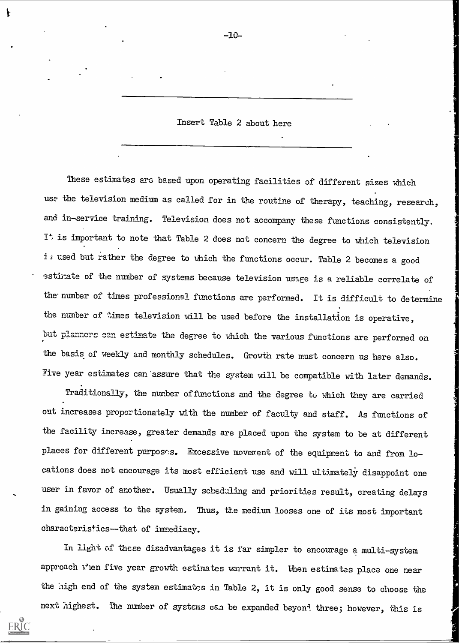Insert Table 2 about here

These estimates arc based upon operating facilities of different sizes which use the television medium as called for in the routine of therapy, teaching, research, and in-service training. Television does not accompany these functions consistently. is important to note that Table 2 does not concern the degree to which television is used but rather the degree to which the functions occur. Table 2 becomes a good estirate of the number of systems because television usage is a reliable correlate of the- number of times professional functions are performed. It is difficult to determine the number of times television will be used before the installation is operative, but planners can estimate the degree to which the various functions are performed on the basis of weekly and monthly schedules. Growth rate must concern us here also. Five year estimates can 'assure that the system will be compatible with later demands.

Traditionally, the number of ftnctions and the degree to yhich they are carried out increases proportionately with the number of faculty and staff. As functions of the facility increase, greater demands are placed upon the system to be at different places for different purposes. Excessive movement of the equipment to and from locations does not encourage its most efficient use and will ultimately disappoint one user in favor of another. Usually scheduling and priorities result, creating delays in gaining access to the system. Thus, the medium looses one of its most important characteristics--that of immediacy.

in light of the disadvantages it is far simpler to encourage a multi-system approach v'en five year growth estimates warrant it. When estimates place one near the high end of the system estimates in Table 2, it is only good sense to choose the next highest. The number of systems can be expanded beyon<sup>3</sup> three; however, this is

ERIC

-10-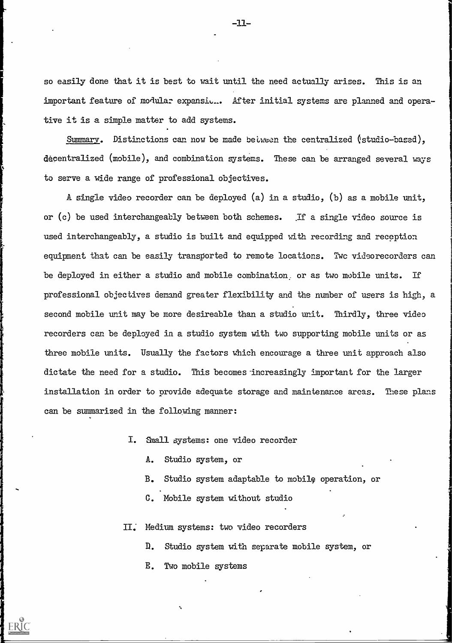so easily done that it is best to wait until the need actually arises. This is an important feature of modular expansid... After initial systems are planned and operative it is a simple matter to add systems.

Summary. Distinctions can now be made between the centralized (studio-based), decentralized (mobile), and combination systems. These can be arranged several mays to serve a wide range of professional objectives.

A single video recorder can be deployed (a) in a studio, (b) as a mobile unit, or (c) be used interchangeably between both schemes. If a single video source is used interchangeably, a studio is built and equipped with recording and reception equipment that can be easily transported to remote locations. Twc videorecorders can be deployed in either a studio and mobile combination. or as two mobile units. If professional objectives demand greater flexibility and the number of users is high, a second mobile unit may be more desireable than a studio unit. Thirdly, three video recorders can be deployed in a studio system with two supporting mobile units or as three mobile units. Usually the factors which encourage a three unit approach also dictate the need for a studio. This becomes-increasingly important for the larger installation in order to provide adequate storage and maintenance areas. These plans can be summarized in the following manner:

- I. &all systems: one video recorder
	- A. Studio system, or
	- B. Studio system adaptable to mobil9 operation, or
	- C. Mobile system without studio

II.' Medium systems: two video recorders

- D. Studio system with separate mobile system, or
- E. Two mobile systems

ERIC

 $-11-$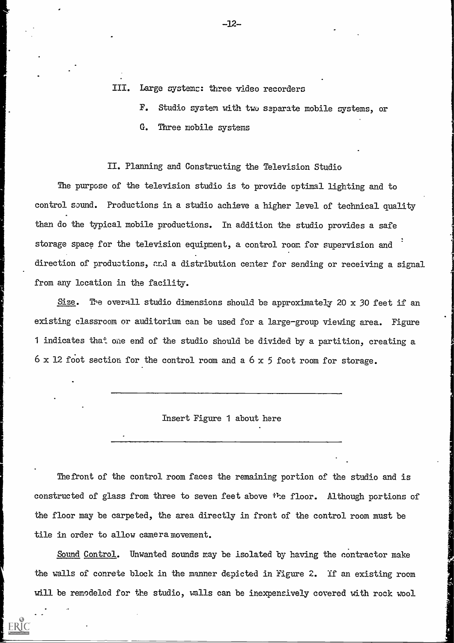- III. Large systems: three video recorders
	- F. Studio system with two separate mobile systems, or
	- G. Three mobile systems

#### II. Planning and Constructing the Television Studio

The purpose of the television studio is to provide optimal lighting and to control sound. Productions in a studio achieve a higher level of technical quality than do the typical mobile productions. In addition the studio provides a safe storage space for the television equipment, a control room for supervision and direction of productions, and a distribution center for sending or receiving a signal from any location in the facility.

Size. The overall studio dimensions should be approximately 20 x 30 feet if an existing classroom or auditorium can be used for a large-group viewing area. Figure 1 indicates that one end of the studio should be divided by a partition, creating a  $6 \times 12$  foot section for the control room and a  $6 \times 5$  foot room for storage.

Insert Figure 1 about here

Thefront of the control room faces the remaining portion of the studio and is constructed of glass from three to seven feet above ite floor. Although portions of the floor may be carpeted, the area directly in front of the control room must be tile in order to allow camera movement.

Sound Control. Unwanted sounds may be isolated by having the contractor make the walls of conrete block in the manner depicted in Figure 2. If an existing room will be remodeled for the studio, walls can be inexpensively covered uith rock wool

ERIC

-12-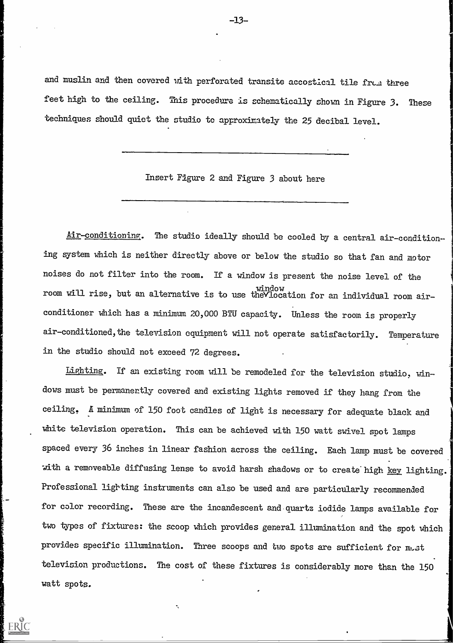and muslin and then covered with perforated transite accostical tile from three feet high to the ceiling. This procedure is schematically shown in Figure 3. These techniques should quiet the studio to approximately the 25 decibal level.

Insert Figure 2 and Figure 3 about here

Air-conditioning. The studio ideally should be cooled by a central air-condition-ing system Which is neither directly above or below the studio so that fan and motor noises do not filter into the room. If a window is present the noise level of the window<sub>.</sub> room will rise, but an alternative is to use theVlocation for an individual room airconditioner which has a minimum 20,000 BTU capacity. Unless the room is properly air-conditioned, the television equipment will not operate satisfactorily. Temperature in the studio should not exceed 72 degrees.

Lighting. If an existing room will be remodeled for the television studio, windows must be permanently covered and existing lights removed if they hang from the ceiling. A minimum of 150 foot candles of light is necessary for adequate black and white television operation. This can be achieved with 150 watt swivel spot lamps spaced every 36 inches in linear fashion across the ceiling. Each lamp must be covered with a removeable diffusing lense to avoid harsh shadows or to create high key lighting. Professional lighting instruments can also be used and are particularly recommended for color recording. These are the incandescent and quartz iodide lamps available for two types of fixtures: the scoop which provides general illumination and the spot which provides specific illumination. Three scoops and two spots are sufficient for must television productions. The cost of these fixtures is considerably more than the 150 watt spots.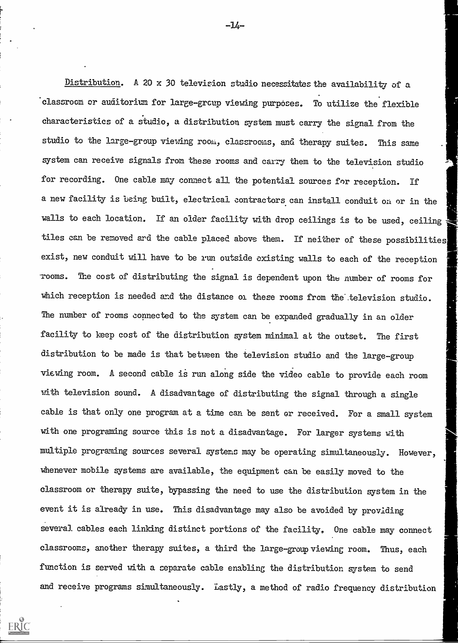Distribution. A 20 x 30 television studio necessitates the availability of a 'classroom or auditorium for large -group viewing purposes. To utilize the flexible Characteristics of a studio, a distribution system must carry the signal from the studio to the large-group viewing room, classrooms, and therapy suites. This same system can receive signals from these rooms and carry them to the television studio for recording. One cable may connect all the potential sources for reception. If a new facility is being built, electrical contractors can install conduit on or in the walls to each location. If an older facility with drop ceilings is to be used, ceiling tiles can be removed and the cable placed above them. If neither of these possibilities exist, new conduit will have to be run outside existing walls to each of the reception -rooms. The cost of distributing the signal is dependent upon the number of rooms for which reception is needed and the distance or these rooms from the television studio. The number of rooms connected to the system can be expanded gradually in an older facility to keep cost of the distribution system minimal at the outset. The first distribution to be made is that between the television studio and the large-group viewing room. A second cable is run along side the video cable to provide each room with television sound. A disadvantage of distributing the signal through a single cable is that only one program at a time can be sent or received. For a small system with one programing source this is not a disadvantage. For larger systems with multiple programing sources several systems may be operating simultaneously. However, whenever mobile systems are available, the equipment can be easily moved to the classroom or therapy suite, bypassing the need to use the distribution system in the event it is already in use. This disadvantage may also be avoided by providing several cables each linking distinct portions of the facility, One cable may connect classrooms, another therapy suites, a third the large-group viewing room. Thus, each function is served with a separate cable enabling the distribution system to send and receive programs simultaneously. Lastly, a method of radio frequency distribution

ERIC

-14-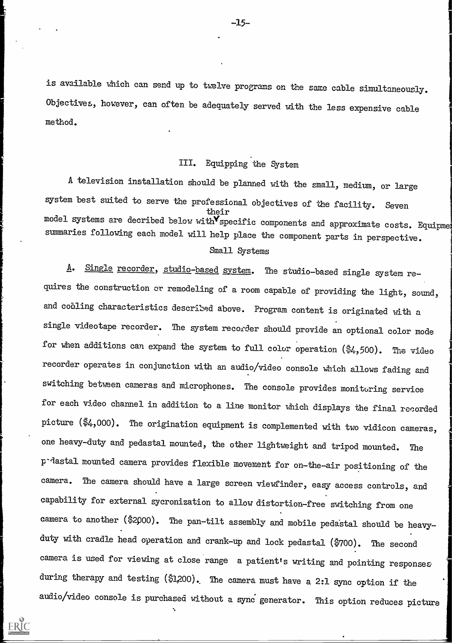is available which can send up to twelve programs on the same cable simultaneously. Objectives, however, can often be adequately served with the less expensive cable method.

## III. Equipping the System

A television installation should be planned with the small, medium, or large system best suited to serve the professional objectives of the facility. Seven their model systems are decribed below with specific components and approximate costs. Equipment summaries following each model will help place the component parts in perspective. Small Systems

A. Single recorder, studio-based system. The studio-based single system requires the construction or remodeling of a room capable of providing the light, sound, and coaling characteristics described above. Program content is originated with a single videotape recorder. The system recorder should provide an optional color mode for when additions can expand the system to full color operation (\$4,500). The video recorder operates in conjunction with an audio/video console which allows fading and switching between cameras and microphones. The console provides monitoring service for each video channel in addition to a line monitor which displays the final recorded picture (\$4,000). The origination equipment is complemented with two vidicon cameras, one heavy-duty and pedastal mounted, the other lightweight and tripod mounted. The p-dastal mounted camera provides flexible movement for on-the-air positioning of the camera. The camera should have a large screen viewfinder, easy access controls, and capability for external sycronization to allow distortion-free switching from one camera to another (\$2p00). The pan-tilt assembly and mobile peda'stal should be heavyduty with cradle head operation and crank-up and lock pedastal (\$700). The second camera is used for viewing at close range a patient's writing and pointing responses during therapy and testing (\$1,200). The camera must have a 2:1 sync option if the audio/video console is purchased without a sync generator. This option reduces picture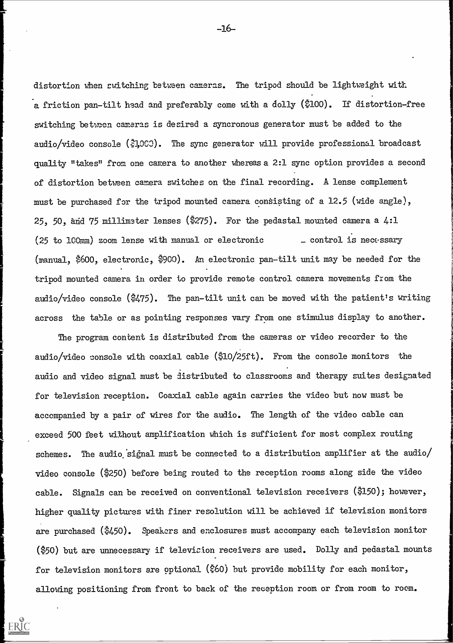distortion when switching between cameras. The tripod should be lightweight with a friction pan-tilt head and preferably come with a dolly (\$100). If distortion-free switching between cameras is desired a syncronous generator must be added to the audio/video console (\$3,003). The sync generator will provide professional broadcast quality "takes" from one camera to another whereas a 2:1 sync option provides a second of distortion between camera switches on the final recording. A lense complement must be purchased for the tripod mounted camera consisting of a 12.5 (wide angle), 25, 50, and 75 millimeter lenses (\$275). For the pedastal mounted camera a  $4:1$  $(25$  to 100mm) zoom lense with manual or electronic  $\qquad$  \_ control is necessary (manual, \$600, electronic, \$900) . An electronic pan-tilt unit may be needed for the tripod mounted camera in order to provide remote control camera movements from the audio/video console (\$475). The pan-tilt unit can be moved with the patient's writing across the table or as pointing responses vary from one stimulus display to another.

The program content is distributed from the cameras or video recorder to the audio/video console with coaxial cable (\$10/25ft). From the console monitors the audio and video signal must be distributed to classrooms and therapy suites designated for television reception. Coaxial cable again carries the video but now must be accompanied by a pair of wires for the audio. The length of the video cable can exceed 500 feet without amplification which is sufficient for most complex routing schemes. The audio signal must be connected to a distribution amplifier at the audio/ video console (\$250) before being routed to the reception rooms along side the video cable. Signals can be received on conventional television receivers (\$150); however, higher quality pictures with finer resolution will be achieved if television monitors are purchased (\$450). Speakers and enclosures must accompany each television monitor (\$50) but are unnecessary if television receivers are used. Dolly and pedastal mounts for television monitors are optional (\$60) but provide mobility for each monitor, allowing positioning from front to back of the reception room or from room to room.

ERIC

-16-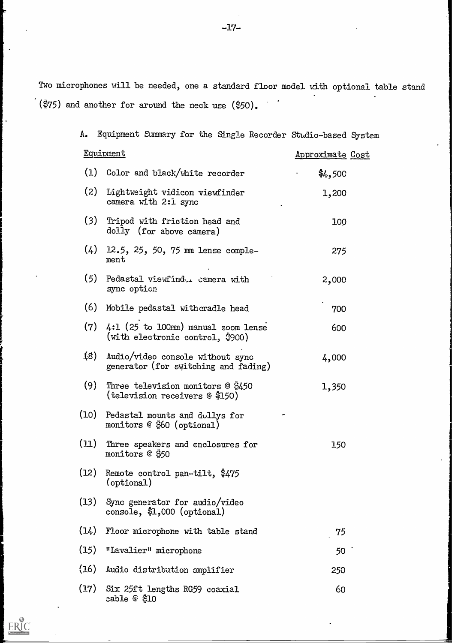Two microphones will be needed, one a standard floor model with optional table stand  $\dot{ }$  (\$75) and another for around the neck use (\$50).

| Α.   | Equipment Summary for the Single Recorder Studio-based System                         |                         |  |
|------|---------------------------------------------------------------------------------------|-------------------------|--|
|      | <b>Equipment</b>                                                                      | <u>Approximate</u> Cost |  |
|      | (1) Color and black/white recorder                                                    | \$4,500                 |  |
| (2)  | Lightweight vidicon viewfinder<br>camera with 2:1 sync                                | 1,200                   |  |
| (3)  | Tripod with friction head and<br>dolly (for above camera)                             | 100                     |  |
| (4)  | 12.5, 25, 50, 75 mm lense comple-<br>ment                                             | 275                     |  |
| (5)  | Pedastal viewfindu. camera with<br>sync option                                        | 2,000                   |  |
| (6)  | Mobile pedastal withcradle head                                                       | 700                     |  |
| (7)  | $4:1$ (25 to 100mm) manual zoom lense<br>(with electronic control, $\frac{5}{2}900$ ) | 600                     |  |
| (8)  | Audio/video console without sync<br>generator (for switching and fading)              | 4,000                   |  |
| (9)  | Three television monitors @ \$450<br>(television receivers @ \$150)                   | 1,350                   |  |
| (10) | Pedastal mounts and dollys for<br>monitors @ \$60 (optional)                          |                         |  |
| (11) | Three speakers and enclosures for<br>monitors $@$ \$50                                | 150                     |  |
| (12) | Remote control pan-tilt, \$475<br>(optional)                                          |                         |  |
|      | (13) Sync generator for audio/video<br>console, $$1,000$ (optional)                   |                         |  |
| (14) | Floor microphone with table stand                                                     | 75                      |  |
| (15) | "Lavalier" microphone                                                                 | 50 C                    |  |
| (16) | Audio distribution amplifier                                                          | 250                     |  |
|      | (17) Six 25ft lengths RG59 coaxial<br>cable @ \$10                                    | 60                      |  |

 $\bullet$  .

 $\ddot{\phantom{a}}$ 

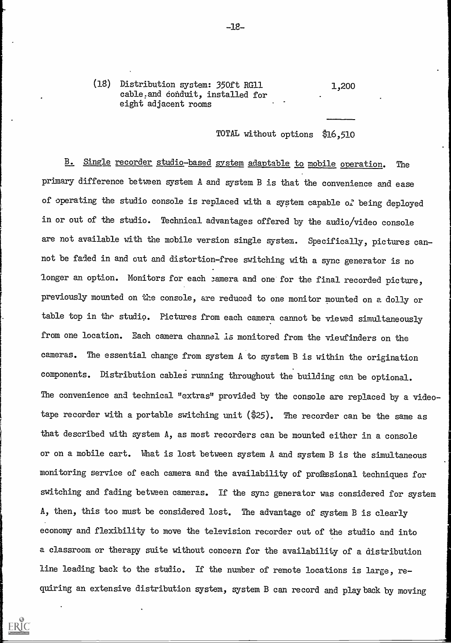(18) Distribution system: 350ft RG11 cable:and conduit, installed for eight adjacent rooms 1,200

### TOTAL without options \$16,510

B. Single recorder studio-based system adaptable to mobile operation. The primary difference between system A and system B is that the convenience and ease of operating the studio console is replaced with a system capable of being deployed in or out of the studio. Technical advantages offered by the audio/video console are not available with the mobile version single system. Specifically, pictures cannot be faded in and out and distortion-free switching with a sync generator is no longer an option. Monitors for each samera and one for the final recorded picture, previously mounted on the console, are reduced to one monitor mounted on a dolly or table top in the studio. Pictures from each camera cannot be viewed simultaneously from one location. Each camera channel is monitored from the viewfinders on the cameras. The essential change from system A to system B is within the origination components. Distribution cables running throughout the building can be optional. The convenience and technical "extras" provided by the console are replaced by a videotape recorder with a portable switching unit (\$25). The recorder can be the same as that described with system A, as most recorders can be mounted either in a console or on a mobile cart. What is lost between system A and system B is the simultaneous monitoring service of each camera and the availability of professional techniques for switching and fading between cameras. If the sync generator was considered for system A, then, this too must be considered lost. The advantage of system B is clearly economy and flexibility to move the television recorder out of the studio and into a classroom or therapy suite without concern for the availability of a distribution line leading back to the studio. If the number of remote locations is large, requiring an extensive distribution system, system B can record and playback by moving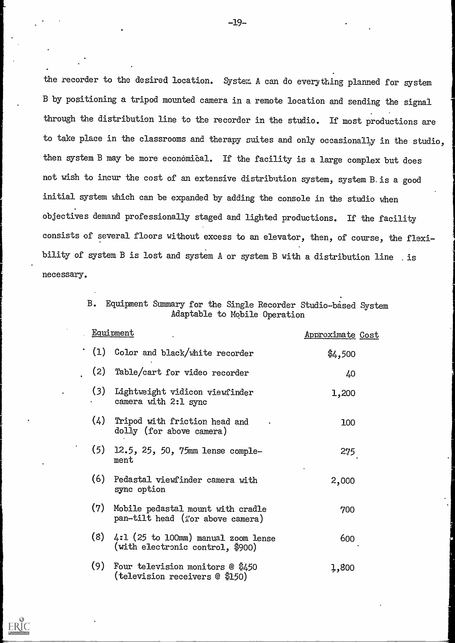the recorder to the desired location. System A can do everything planned for system B by positioning a tripod mounted camera in a remote location and sending the signal through the distribution line to the recorder in the studio. If most productions are to take place in the classrooms and therapy suites and only occasionally in the studio, then system B may be more economical. If the facility is a large complex but does not wish to incur the cost of an extensive distribution system, system B.is a good initial system which can be expanded by adding the console in the studio when objectives demand professionally staged and lighted productions. If the facility consists of several floors without excess to an elevator, then, of course, the flexibility of system B is lost and system A or system B with a distribution line is necessary.

> B. Equipment Summary for the Single Recorder Studio based System Adaptable to Mobile Operation

|     | Equipment                                                                 | Approximate Cost   |  |
|-----|---------------------------------------------------------------------------|--------------------|--|
| (1) | Color and black/white recorder                                            | $\frac{4}{9}4,500$ |  |
| (2) | Table/cart for video recorder                                             | 40                 |  |
| (3) | Lightweight vidicon viewfinder<br>camera with 2:1 sync                    | 1,200              |  |
| (4) | Tripod with friction head and<br>dolly (for above camera)                 | 100                |  |
| (5) | 12.5, 25, 50, 75mm lense comple-<br>ment                                  | 275                |  |
| (6) | Pedastal viewfinder camera with<br>sync option                            | 2,000              |  |
| (7) | Mobile pedastal mount with cradle<br>pan-tilt head (for above camera)     | 700                |  |
| (8) | $4:1$ (25 to 100mm) manual zoom lense<br>(with electronic control, \$900) | 600                |  |
| (9) | Four television monitors $@$ \$450<br>(television receivers @ \$150)      | 1,800              |  |

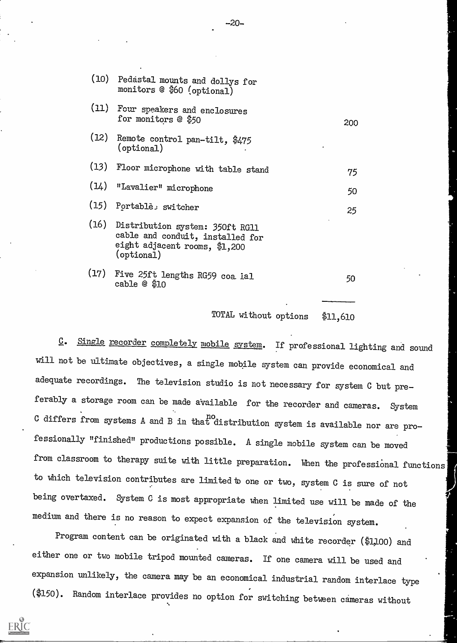|      | (10) Pedastal mounts and dollys for<br>monitors @ \$60 (optional)                                                       |     |
|------|-------------------------------------------------------------------------------------------------------------------------|-----|
|      | (11) Four speakers and enclosures<br>for monitors @ \$50                                                                | 200 |
| (12) | Remote control pan-tilt, \$475<br>$($ optional $)$                                                                      |     |
|      | (13) Floor microphone with table stand                                                                                  | 75  |
| (14) | "Lavalier" microphone                                                                                                   | 50  |
|      | (15) Portable: switcher                                                                                                 | 25  |
|      | (16) Distribution system: 350ft RG11<br>cable and conduit, installed for<br>eight adjacent rooms, \$1,200<br>(optional) |     |
| (17) | Five 25ft lengths RG59 coa ial<br>cable @ \$10                                                                          | 50  |

TOTAL without options \$11,610

C. Single recorder completely mobile system. If professional lighting and sound will not be ultimate objectives, a single mobile system can provide economical and adequate recordings. The television studio is not necessary for system C but preferably a storage room can be made available for the recorder and cameras. System C differs from systems A and B in that distribution system is available nor are professionally "finished" productions possible. A single mobile system can be moved from classroom to therapy suite with little preparation. When the professional functions to which television contributes are limited to one or two, system C is sure of not being overtaxed. System C is most appropriate when limited use will be made of the medium and there is no reason to expect expansion of the television system.

Program content can be originated with a black and white recorder (\$1,100) and either one or two mobile tripod mounted cameras. If one camera will be used and expansion unlikely, the camera may be an economical industrial random interlace type (\$150). Random interlace provides no option for switching between cameras without

 $-20-$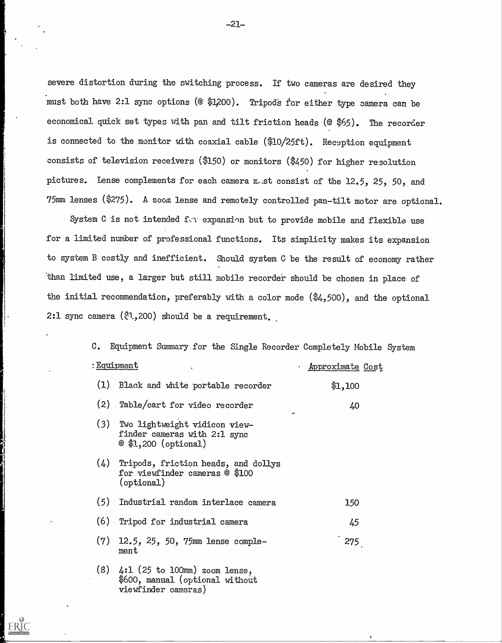severe distortion during the switching process. If two cameras are desired they must both have 2:1 sync options (@ \$1,200). Tripods for either type camera can be economical quick set types with pan and tilt friction heads  $(@$ \$65). The recorder is connected to the monitor with coaxial cable (\$10/25ft). Reception equipment consists of television receivers (\$150) or monitors (\$450) for higher resolution pictures. Lense complements for each camera  $m$  st consist of the 12.5, 25, 50, and 75mm lenses (\$275). A zoom lense and remotely controlled pan-tilt motor are optional.

System C is not intended  $f(x)$  expansion but to provide mobile and flexible use for a limited number of professional functions. Its simplicity makes its expansion to system B costly and inefficient. Should system C be the result of economy rather than limited use, a larger but still mobile recorder should be chosen in place of the initial recommendation, preferably with a color mode (\$4,500), and the optional 2:1 sync camera  $(*1,200)$  should be a requirement.

C. Equipment Summary for the Single Recorder Completely Mobile System

|     | : <u>Equipment</u>                                                                        | Approximate Cost |  |
|-----|-------------------------------------------------------------------------------------------|------------------|--|
| (1) | Black and white portable recorder                                                         | \$1,100          |  |
| (2) | Table/cart for video recorder                                                             | 40               |  |
| (3) | Two lightweight vidicon view-<br>finder cameras with 2:1 sync<br>$@$ \$1,200 (optional)   |                  |  |
| (4) | Tripods, friction heads, and dollys<br>for viewfinder cameras @ \$100<br>$($ optional $)$ |                  |  |
| (5) | Industrial random interlace camera                                                        | 150              |  |
| (6) | Tripod for industrial camera                                                              | 45               |  |
| (7) | 12.5, 25, 50, 75mm lense comple-<br>ment                                                  | 275              |  |
| (8) | $4:1$ (25 to 100mm) zoom lense,<br>\$600, manual (optional without                        |                  |  |

viewfinder camera5)

ERIC

 $-21-$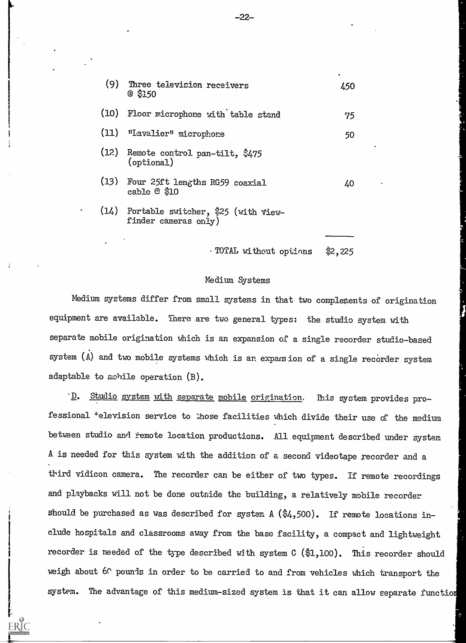| (9) Three television receivers<br>@ \$150                          | 450 |
|--------------------------------------------------------------------|-----|
| (10) Floor microphone with table stand                             | 75  |
| (11) "Lavalier" microphone                                         | 50  |
| (12) Remote control pan-tilt, \$475<br>$($ optional $)$            |     |
| (13) Four 25ft lengths RG59 coaxial<br>cable $@$ \$10              | 40  |
| $(14)$ Portable switcher, $25$ (with view-<br>finder cameras only) |     |

TOTAL without options \$2, 225

#### Medium Systems

Medium systems differ from small systems in that two complements of origination equipment are available. There are two general types: the studio system with separate mobile origination which is an expansion of a single recorder studio-based system (A) and two mobile systems which is an expansion of a single recorder system adaptable to mobile operation (B).

D. Studio system with separate mobile origination. This system provides professional <sup>+</sup>elevision service to those facilities which divide their use of the medium between studio and remote location productions. All equipment described under system A is needed for this system with the addition of a second videotape recorder and a third vidicon camera. The recorder can be either of two types. If remote recordings and playbacks will not be done outside the building, a relatively mobile recorder should be purchased as was described for system  $A$  ( $\frac{4}{9}4,500$ ). If remote locations include hospitals and classrooms away from the base facility, a compact and lightweight recorder is needed of the type described with system C (\$1,100). This recorder should weigh about 6C pounds in order to be carried to and from vehicles which transport the system. The advantage of this medium-sized system is that it can allow separate functio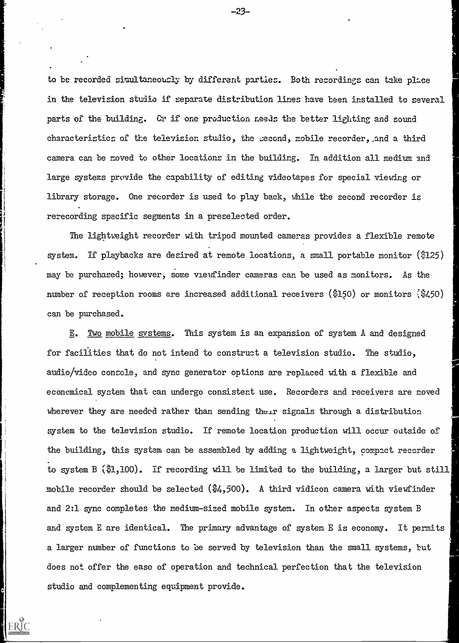to be recorded simultaneously by different parties. Both recordings can take place in the television studio if separate distribution lines have been installed to several parts of the building. Cr if one production needs the better lighting and sound characteristics of the television studio, the :second, mobile recorder, .and a third camera can be moved to other locations in the building. In addition all medium and large systems provide the capability of editing videotapes for special viewing or library storage. One recorder is used to play back, while the second recorder is rerecording specific segments in a preselected order.

The lightweight recorder with tripod mounted cameras provides a flexible remote system. If playbacks are desired at remote locations, a small portable monitor (5125) may be purchased; however, some viewfinder cameras can be used as monitors. As the number of reception rooms are increased additional receivers  $(\frac{3150}{9150})$  or monitors  $(\frac{3}{9450})$ can be purchased.

E. Two mobile systems. This system is an expansion of system A and designed for facilities that do not intend to construct a television studio. The studio, audio/video console, and sync generator options are replaced with a flexible and economical system that can undergo consistent use. Recorders and receivers are moved wherever they are needed rather than sending their signals through a distribution system to the television studio. If remote location production will occur oatside of the building, this system can be assembled by adding a lightweight, compact recorder to system B (\$1,100). If recording will be limited to the building, a larger but still mobile recorder should be selected  $(\frac{5}{4}, 500)$ . A third vidicon camera with viewfinder and 2:1 sync completes the medium-sized mobile system. In other aspects system B and system E are identical. The primary advantage of system E is economy. It permits a larger number of functions to be served by television than the small systems, but does not offer the ease of operation and technical perfection that the television studio and complementing equipment provide.

-23.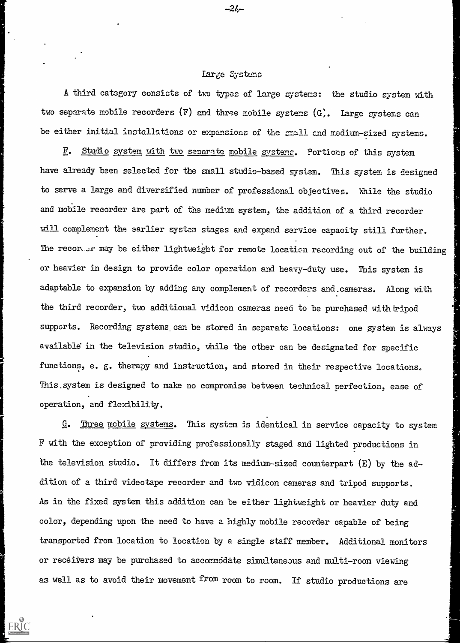#### Large Systems

-2Ŀ-

A third category consists of two types of large systems: the studio gystem with two separate mobile recorders  $(F)$  and three mobile systems  $(G)$ . Large systems can be either initial installations or expansions of the small and redium-sized systems.

F. Studio system with two separate mobile systems. Portions of this system have already been selected for the small studio-based system. This system is designed to serve a large and diversified number of professional objectives. Nhile the studio and mobile recorder are part of the medium system, the addition of a third recorder will complement the earlier system stages and expand service capacity still further. The recor. Ir may be either lightweight for remote location recording out of the building or heavier in design to provide color operation and heavy-duty use. This system is adaptable to expansion by adding any complement of recorders and.cameras. Along with the third recorder, two additional vidicon cameras need to be purchased with tripod supports. Recording systems can be stored in separate locations: one system is always available in the television studio, while the other can be designated for specific functions, e. g. therapy and instruction, and stored in their respective locations. This.system is designed to make no compromise between technical perfection, ease of operation, and flexibility.

G. Three mobile systems. This system is identical in service capacity to system F with the exception of providing professionally staged and lighted productions in the television studio. It differs from its medium-sized counterpart (E) by the addition of a third videotape recorder and two vidicon cameras and tripod supports. As in the fixed system this addition can be either lightweight or heavier duty and color, depending upon the need to have a highly mobile recorder capable of being transported from location to location by a single staff member. Additional monitors or receivers may be purchased to accommodate simultaneous and multi-room viewing as well as to avoid their movement from room to room. If studio productions are

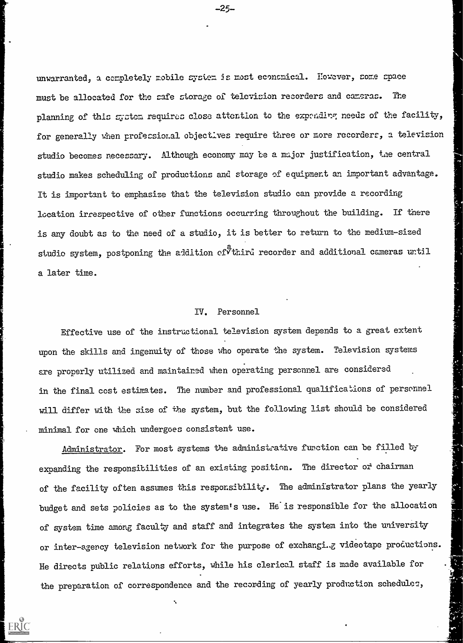unwarranted, a completely mobile system is most economical. However, some space must be allocated for the cafe storage of television recorders and cameras. The planning of this system requires close attention to the expendirg needs of the facility, for generally when profecsional objectives require three or more recorders, a television studio becomes necessary. Although economy may be a major justification, the central studio makes scheduling of productions and storage of equipment an important advantage. It is important to emphasize that the television studio can provide a recording location irrespective of other functions occurring throughout the building. If there is any doubt as to the need of a studio, it is better to return to the medium-sized studio system, postponing the addition of  $\sigma$ third recorder and additional cameras until a later time.

#### IV. Personnel

Effective use of the instructional television system depends to a great extent upon the skills and ingenuity of those who operate the system. Television systems are properly utilized and maintained When operating personnel are considered in the final cost estimates. The number and professional qualifications of personnel will differ with the size of the system, but the following list should be considered minimal for one which undergoes consistent use.

Administrator. For most systems the administrative function can be filled by expanding the responsibilities of an existing position. The director of chairman of the facility often assumes this responsibility. The administrator plans the yearly budget and sets policies as to the system's use. He is responsible for the allocation of system time among faculty and staff and integrates the system into the university or inter-agency television network for the purpose of exchangi.g videotape productions. He directs public relations efforts, while his clerical staff is made available for the preparation of correspondence and the recording of yearly production schedule:



-25-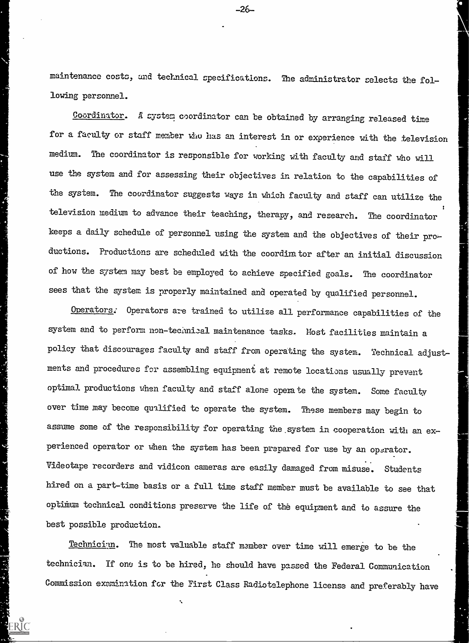maintenance costs, and technical specifications. The administrator selects the following personnel.

Coordinator. A system coordinator can be obtained by arranging released time for a faculty or staff member who has an interest in or experience with the television medium. The coordinator is responsible for working with faculty and staff who will use the system and for assessing their objectives in relation to the capabilities of the system. The coordinator suggests ways in Which faculty and staff can utilize the television medium to advance their teaching, therapy, and research. The coordinator keeps a daily schedule of personnel using the system and the objectives of their productions. Productions are scheduled with the coordinator after an initial discussion of how the system may best be employed to achieve specified goals. The coordinator sees that the system is properly maintained and operated by qualified personnel.

Operators. Operators are trained to utilize all performance capabilities of the system and to perform non-technical maintenance tasks. Most facilities maintain a policy that discourages faculty and staff from operating the system. Technical adjustments and procedures for assembling equipment at remote locations usually prevent optimal productions when faculty and staff alone operate the system. Some faculty over time may become qualified to operate the system. These members may begin to assume some of the responsibility for operating the system in cooperation with an experienced operator or when the system has been prepared for use by an operator. Videotape recorders and vidicon cameras are easily damaged from misuse. Students hired on a part-time basis or a full time staff member must be available to see that optimum technical conditions preserve the life of the equipment and to assure the best possible production.

The most valuable staff member over time will emerge to be the technician. If ono is to be hired, he should have passed the Federal Communication Commission examination for the First Class Radiotelephone license and preferably have

 $1.31$ 

-26-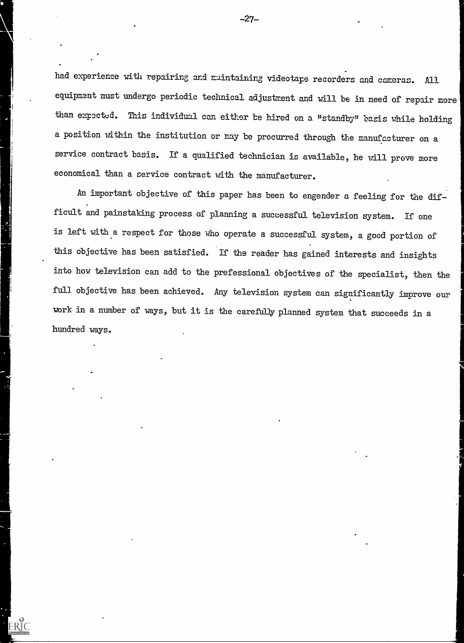had experience with repairing and muintaining videotape recorders and cameras. All equipment must undergo periodic technical adjustment and mill be in need of repair more than expected. This individual can either be hired on a "standby" basis while holding a position within the institution or may be procurred through the manufacturer on a service contract basis. If a qualified technician is available, he will prove more economical than a service contract with the manufacturer.

An important objective of this paper has been to engender a feeling for the difficult and painstaking process of planning a successful television system. If one is left with a respect for those who operate a successful system, a good portion of this objective has been satisfied. If the reader has gained interests and insights into how television can add to the prefessional objectives of the specialist, then the full objective has been achieved. Any television system can significantly improve our work in a number of ways, but it is the careftiJy planned system that succeeds in a hundred ways.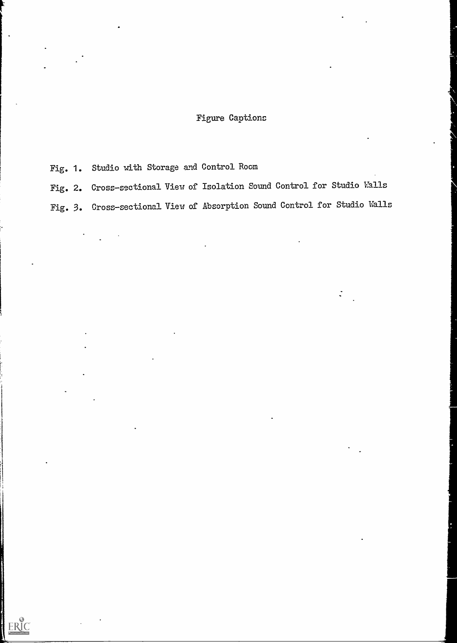### Figure Captions

Fig. 1. Studio with Storage and Control Room

ERIC

Fig. 2. Cross-sectional View of Isolation Sound Control for Studio Halls Fig. 3. Cross-sectional View of Absorption Sound Control for Studio Halls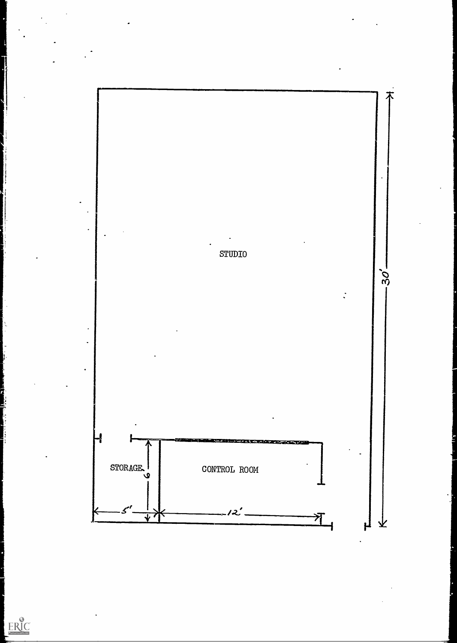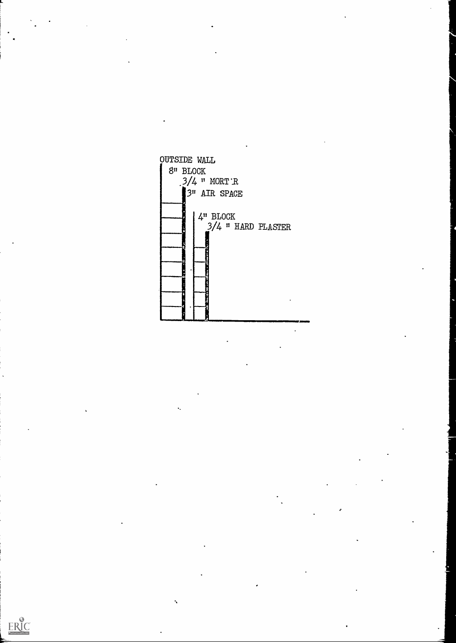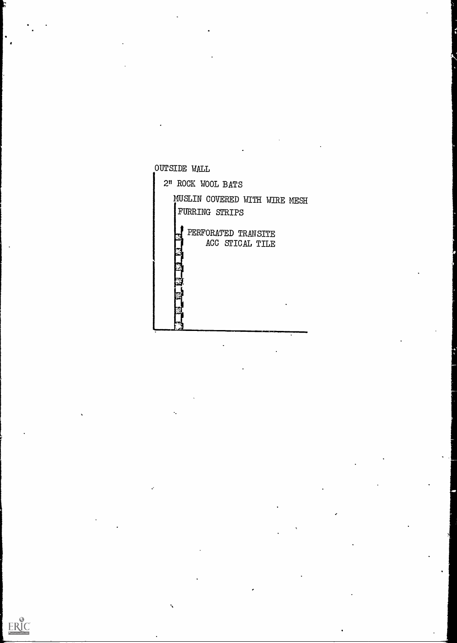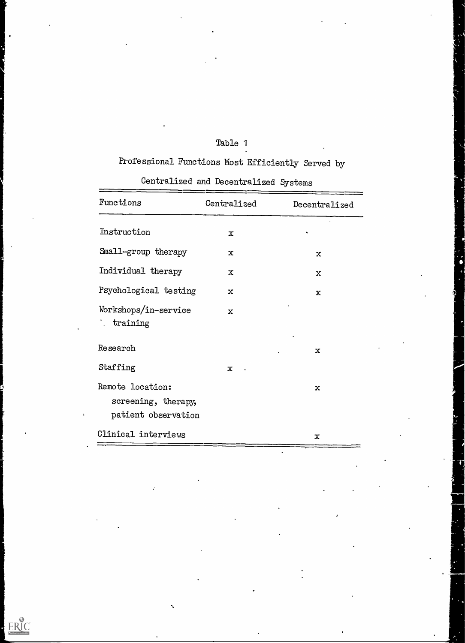# Table 1

# Professional Functions Most Efficiently Served by

# Centralized and Decentralized Systems

| Functions                                                      | Centralized | Decentralized |  |
|----------------------------------------------------------------|-------------|---------------|--|
| Instruction                                                    | $\mathbf x$ |               |  |
| Small-group therapy                                            | $\mathbf x$ | $\mathbf x$   |  |
| Individual therapy                                             | $\mathbf x$ | $\mathbf x$   |  |
| Psychological testing                                          | $\mathbf x$ | $\mathbf x$   |  |
| Workshops/in-service<br>: training                             | $\mathbf x$ |               |  |
| Research                                                       |             | $\mathbf x$   |  |
| Staffing                                                       | $\mathbf x$ |               |  |
| Remote location:<br>screening, therapy,<br>patient observation |             | $\mathbf x$   |  |
| Clinical interviews                                            |             | $\mathbf x$   |  |

 $\ddot{\phantom{a}}$ 

 $\sum_{\lambda_{\text{full heat provided by EHC}}}$ 

I